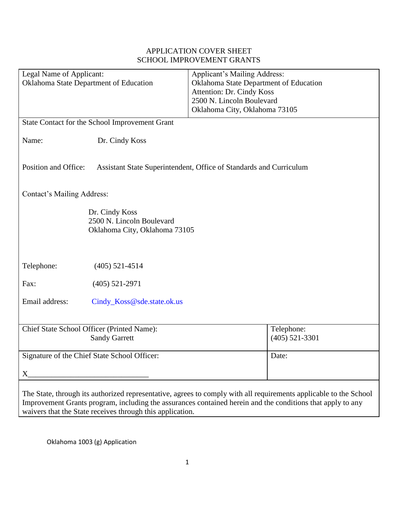| Legal Name of Applicant:<br>Oklahoma State Department of Education                                                                                                                                                              | <b>Applicant's Mailing Address:</b><br>Oklahoma State Department of Education<br>Attention: Dr. Cindy Koss<br>2500 N. Lincoln Boulevard<br>Oklahoma City, Oklahoma 73105 |  |  |  |  |
|---------------------------------------------------------------------------------------------------------------------------------------------------------------------------------------------------------------------------------|--------------------------------------------------------------------------------------------------------------------------------------------------------------------------|--|--|--|--|
| State Contact for the School Improvement Grant                                                                                                                                                                                  |                                                                                                                                                                          |  |  |  |  |
| Name:<br>Dr. Cindy Koss                                                                                                                                                                                                         |                                                                                                                                                                          |  |  |  |  |
| Position and Office:<br>Assistant State Superintendent, Office of Standards and Curriculum                                                                                                                                      |                                                                                                                                                                          |  |  |  |  |
| <b>Contact's Mailing Address:</b>                                                                                                                                                                                               |                                                                                                                                                                          |  |  |  |  |
| Dr. Cindy Koss<br>2500 N. Lincoln Boulevard<br>Oklahoma City, Oklahoma 73105                                                                                                                                                    |                                                                                                                                                                          |  |  |  |  |
| Telephone:<br>$(405)$ 521-4514                                                                                                                                                                                                  |                                                                                                                                                                          |  |  |  |  |
| Fax:<br>$(405)$ 521-2971                                                                                                                                                                                                        |                                                                                                                                                                          |  |  |  |  |
| Email address:<br>Cindy_Koss@sde.state.ok.us                                                                                                                                                                                    |                                                                                                                                                                          |  |  |  |  |
| Chief State School Officer (Printed Name):<br><b>Sandy Garrett</b>                                                                                                                                                              | Telephone:<br>$(405)$ 521-3301                                                                                                                                           |  |  |  |  |
| Signature of the Chief State School Officer:                                                                                                                                                                                    | Date:                                                                                                                                                                    |  |  |  |  |
| $X_{\!-}$                                                                                                                                                                                                                       |                                                                                                                                                                          |  |  |  |  |
| The State, through its authorized representative, agrees to comply with all requirements applicable to the School<br>Improvement Grants program, including the assurances contained herein and the conditions that apply to any |                                                                                                                                                                          |  |  |  |  |

# APPLICATION COVER SHEET SCHOOL IMPROVEMENT GRANTS

Oklahoma 1003 (g) Application

waivers that the State receives through this application.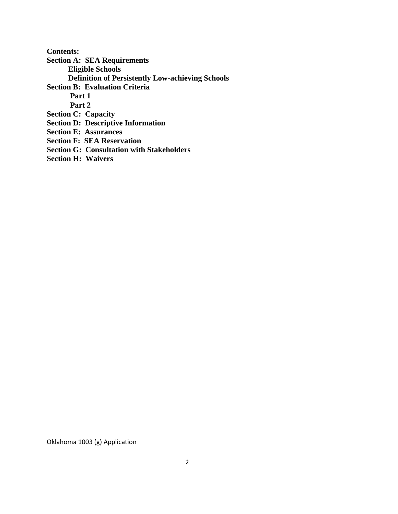**Contents: Section A: SEA Requirements Eligible Schools Definition of Persistently Low-achieving Schools Section B: Evaluation Criteria Part 1 Part 2 Section C: Capacity Section D: Descriptive Information Section E: Assurances Section F: SEA Reservation Section G: Consultation with Stakeholders Section H: Waivers**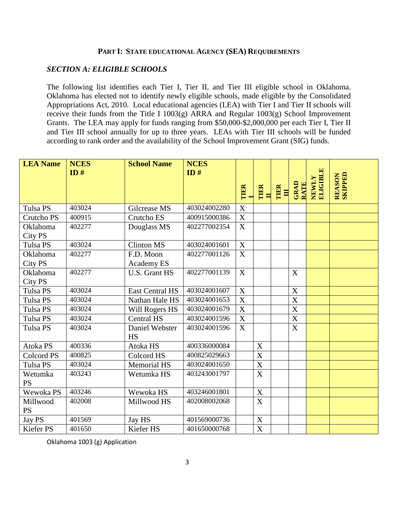#### **PART I: STATE EDUCATIONAL AGENCY (SEA) REQUIREMENTS**

#### *SECTION A: ELIGIBLE SCHOOLS*

The following list identifies each Tier I, Tier II, and Tier III eligible school in Oklahoma. Oklahoma has elected not to identify newly eligible schools, made eligible by the Consolidated Appropriations Act, 2010. Local educational agencies (LEA) with Tier I and Tier II schools will receive their funds from the Title I 1003(g) ARRA and Regular 1003(g) School Improvement Grants. The LEA may apply for funds ranging from \$50,000-\$2,000,000 per each Tier I, Tier II and Tier III school annually for up to three years. LEAs with Tier III schools will be funded according to rank order and the availability of the School Improvement Grant (SIG) funds.

| <b>LEA Name</b>       | <b>NCES</b><br>ID# | <b>School Name</b>          | <b>NCES</b><br>ID# | TIER                  | TIER<br>$\blacksquare$  | TIER<br>$\blacksquare$ | GRAD<br><b>RATE</b>       | NEWLY<br>ELIGIBLE | <b>REASON</b><br>SKIPPED |
|-----------------------|--------------------|-----------------------------|--------------------|-----------------------|-------------------------|------------------------|---------------------------|-------------------|--------------------------|
| <b>Tulsa PS</b>       | 403024             | Gilcrease MS                | 403024002280       | $\overline{\text{X}}$ |                         |                        |                           |                   |                          |
| Crutcho PS            | 400915             | Crutcho ES                  | 400915000386       | X                     |                         |                        |                           |                   |                          |
| Oklahoma<br>City PS   | 402277             | Douglass MS                 | 402277002354       | $\mathbf X$           |                         |                        |                           |                   |                          |
| <b>Tulsa PS</b>       | 403024             | <b>Clinton MS</b>           | 403024001601       | $\mathbf X$           |                         |                        |                           |                   |                          |
| Oklahoma<br>City PS   | 402277             | F.D. Moon<br>Academy ES     | 402277001126       | X                     |                         |                        |                           |                   |                          |
| Oklahoma<br>City PS   | 402277             | U.S. Grant HS               | 402277001139       | X                     |                         |                        | X                         |                   |                          |
| Tulsa PS              | 403024             | <b>East Central HS</b>      | 403024001607       | X                     |                         |                        | X                         |                   |                          |
| <b>Tulsa PS</b>       | 403024             | Nathan Hale HS              | 403024001653       | $\boldsymbol{X}$      |                         |                        | $\boldsymbol{\mathrm{X}}$ |                   |                          |
| Tulsa PS              | 403024             | Will Rogers HS              | 403024001679       | $\overline{\text{X}}$ |                         |                        | $\overline{\text{X}}$     |                   |                          |
| Tulsa PS              | 403024             | <b>Central HS</b>           | 403024001596       | X                     |                         |                        | X                         |                   |                          |
| Tulsa PS              | 403024             | Daniel Webster<br><b>HS</b> | 403024001596       | X                     |                         |                        | $\boldsymbol{X}$          |                   |                          |
| Atoka PS              | 400336             | Atoka HS                    | 400336000084       |                       | $\mathbf X$             |                        |                           |                   |                          |
| <b>Colcord PS</b>     | 400825             | Colcord HS                  | 400825029663       |                       | $\mathbf X$             |                        |                           |                   |                          |
| <b>Tulsa PS</b>       | 403024             | <b>Memorial HS</b>          | 403024001650       |                       | $\overline{\mathbf{X}}$ |                        |                           |                   |                          |
| Wetumka<br><b>PS</b>  | 403243             | Wetumka HS                  | 403243001797       |                       | $\mathbf X$             |                        |                           |                   |                          |
| Wewoka PS             | 403246             | Wewoka HS                   | 403246001801       |                       | $\mathbf X$             |                        |                           |                   |                          |
| Millwood<br><b>PS</b> | 402008             | Millwood HS                 | 402008002068       |                       | X                       |                        |                           |                   |                          |
| Jay PS                | 401569             | Jay HS                      | 401569000736       |                       | $\mathbf X$             |                        |                           |                   |                          |
| Kiefer PS             | 401650             | Kiefer HS                   | 401650000768       |                       | $\mathbf X$             |                        |                           |                   |                          |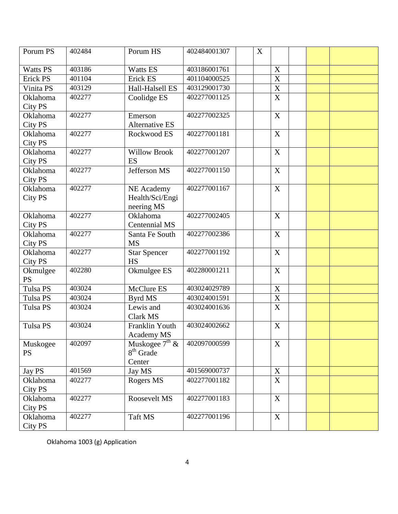| Porum PS        | 402484 | Porum HS              | 402484001307 | $\mathbf X$ |                       |  |  |
|-----------------|--------|-----------------------|--------------|-------------|-----------------------|--|--|
| <b>Watts PS</b> | 403186 | Watts ES              | 403186001761 |             | X                     |  |  |
| <b>Erick PS</b> | 401104 | Erick ES              | 401104000525 |             | X                     |  |  |
| Vinita PS       | 403129 | Hall-Halsell ES       | 403129001730 |             | $\overline{\text{X}}$ |  |  |
| Oklahoma        | 402277 | Coolidge ES           | 402277001125 |             | $\mathbf X$           |  |  |
| City PS         |        |                       |              |             |                       |  |  |
| Oklahoma        | 402277 | Emerson               | 402277002325 |             | $\mathbf X$           |  |  |
| City PS         |        | <b>Alternative ES</b> |              |             |                       |  |  |
| <b>Oklahoma</b> | 402277 | Rockwood ES           | 402277001181 |             | $\boldsymbol{X}$      |  |  |
| <b>City PS</b>  |        |                       |              |             |                       |  |  |
| Oklahoma        | 402277 | <b>Willow Brook</b>   | 402277001207 |             | $\boldsymbol{X}$      |  |  |
| <b>City PS</b>  |        | ES                    |              |             |                       |  |  |
| Oklahoma        | 402277 | Jefferson MS          | 402277001150 |             | X                     |  |  |
| City PS         |        |                       |              |             |                       |  |  |
| Oklahoma        | 402277 | NE Academy            | 402277001167 |             | $\mathbf X$           |  |  |
| <b>City PS</b>  |        | Health/Sci/Engi       |              |             |                       |  |  |
|                 |        | neering MS            |              |             |                       |  |  |
| Oklahoma        | 402277 | Oklahoma              | 402277002405 |             | X                     |  |  |
| <b>City PS</b>  |        | Centennial MS         |              |             |                       |  |  |
| Oklahoma        | 402277 | Santa Fe South        | 402277002386 |             | X                     |  |  |
| City PS         |        | <b>MS</b>             |              |             |                       |  |  |
| Oklahoma        | 402277 | <b>Star Spencer</b>   | 402277001192 |             | $\boldsymbol{X}$      |  |  |
| City PS         |        | <b>HS</b>             |              |             |                       |  |  |
| Okmulgee        | 402280 | Okmulgee ES           | 402280001211 |             | X                     |  |  |
| <b>PS</b>       |        |                       |              |             |                       |  |  |
| <b>Tulsa PS</b> | 403024 | McClure ES            | 403024029789 |             | X                     |  |  |
| <b>Tulsa PS</b> | 403024 | Byrd MS               | 403024001591 |             | $\mathbf X$           |  |  |
| <b>Tulsa PS</b> | 403024 | Lewis and             | 403024001636 |             | $\overline{X}$        |  |  |
|                 |        | <b>Clark MS</b>       |              |             |                       |  |  |
| <b>Tulsa PS</b> | 403024 | Franklin Youth        | 403024002662 |             | X                     |  |  |
|                 |        | <b>Academy MS</b>     |              |             |                       |  |  |
| Muskogee        | 402097 | Muskogee $7th$ &      | 402097000599 |             | $\mathbf X$           |  |  |
| <b>PS</b>       |        | $8th$ Grade           |              |             |                       |  |  |
|                 |        | Center                |              |             |                       |  |  |
| Jay PS          | 401569 | Jay MS                | 401569000737 |             | $\mathbf X$           |  |  |
| Oklahoma        | 402277 | Rogers MS             | 402277001182 |             | $\mathbf X$           |  |  |
| City PS         |        |                       |              |             |                       |  |  |
| Oklahoma        | 402277 | Roosevelt MS          | 402277001183 |             | X                     |  |  |
| City PS         |        |                       |              |             |                       |  |  |
| Oklahoma        | 402277 | Taft MS               | 402277001196 |             | $\mathbf X$           |  |  |
| City PS         |        |                       |              |             |                       |  |  |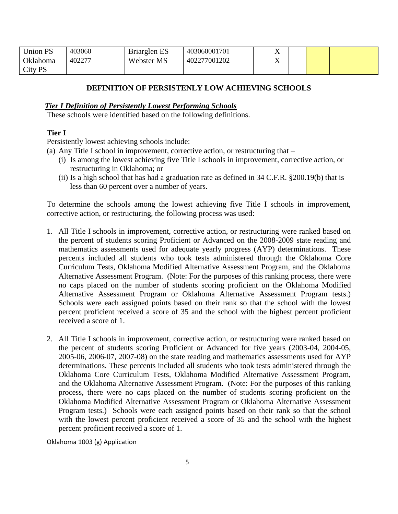| <b>Union PS</b> | 403060 | Briarglen ES | 403060001701 |  | $\mathbf{v}$<br>4X |  |  |
|-----------------|--------|--------------|--------------|--|--------------------|--|--|
| Oklahoma        | 402277 | Webster MS   | 402277001202 |  | $\mathbf{x}$<br>4X |  |  |
| City PS         |        |              |              |  |                    |  |  |

# **DEFINITION OF PERSISTENLY LOW ACHIEVING SCHOOLS**

#### *Tier I Definition of Persistently Lowest Performing Schools*

These schools were identified based on the following definitions.

#### **Tier I**

Persistently lowest achieving schools include:

- (a) Any Title I school in improvement, corrective action, or restructuring that
	- (i) Is among the lowest achieving five Title I schools in improvement, corrective action, or restructuring in Oklahoma; or
	- (ii) Is a high school that has had a graduation rate as defined in 34 C.F.R. §200.19(b) that is less than 60 percent over a number of years.

To determine the schools among the lowest achieving five Title I schools in improvement, corrective action, or restructuring, the following process was used:

- 1. All Title I schools in improvement, corrective action, or restructuring were ranked based on the percent of students scoring Proficient or Advanced on the 2008-2009 state reading and mathematics assessments used for adequate yearly progress (AYP) determinations. These percents included all students who took tests administered through the Oklahoma Core Curriculum Tests, Oklahoma Modified Alternative Assessment Program, and the Oklahoma Alternative Assessment Program. (Note: For the purposes of this ranking process, there were no caps placed on the number of students scoring proficient on the Oklahoma Modified Alternative Assessment Program or Oklahoma Alternative Assessment Program tests.) Schools were each assigned points based on their rank so that the school with the lowest percent proficient received a score of 35 and the school with the highest percent proficient received a score of 1.
- 2. All Title I schools in improvement, corrective action, or restructuring were ranked based on the percent of students scoring Proficient or Advanced for five years (2003-04, 2004-05, 2005-06, 2006-07, 2007-08) on the state reading and mathematics assessments used for AYP determinations. These percents included all students who took tests administered through the Oklahoma Core Curriculum Tests, Oklahoma Modified Alternative Assessment Program, and the Oklahoma Alternative Assessment Program. (Note: For the purposes of this ranking process, there were no caps placed on the number of students scoring proficient on the Oklahoma Modified Alternative Assessment Program or Oklahoma Alternative Assessment Program tests.) Schools were each assigned points based on their rank so that the school with the lowest percent proficient received a score of 35 and the school with the highest percent proficient received a score of 1.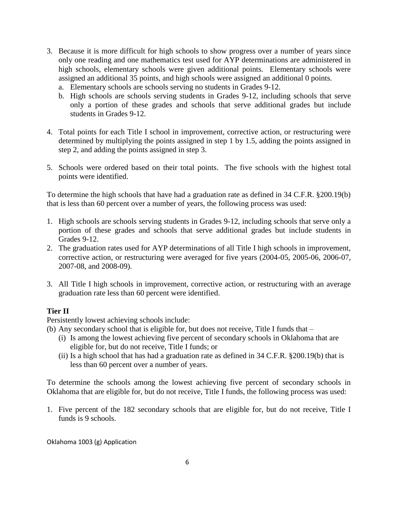- 3. Because it is more difficult for high schools to show progress over a number of years since only one reading and one mathematics test used for AYP determinations are administered in high schools, elementary schools were given additional points. Elementary schools were assigned an additional 35 points, and high schools were assigned an additional 0 points.
	- a. Elementary schools are schools serving no students in Grades 9-12.
	- b. High schools are schools serving students in Grades 9-12, including schools that serve only a portion of these grades and schools that serve additional grades but include students in Grades 9-12.
- 4. Total points for each Title I school in improvement, corrective action, or restructuring were determined by multiplying the points assigned in step 1 by 1.5, adding the points assigned in step 2, and adding the points assigned in step 3.
- 5. Schools were ordered based on their total points. The five schools with the highest total points were identified.

To determine the high schools that have had a graduation rate as defined in 34 C.F.R. §200.19(b) that is less than 60 percent over a number of years, the following process was used:

- 1. High schools are schools serving students in Grades 9-12, including schools that serve only a portion of these grades and schools that serve additional grades but include students in Grades 9-12.
- 2. The graduation rates used for AYP determinations of all Title I high schools in improvement, corrective action, or restructuring were averaged for five years (2004-05, 2005-06, 2006-07, 2007-08, and 2008-09).
- 3. All Title I high schools in improvement, corrective action, or restructuring with an average graduation rate less than 60 percent were identified.

# **Tier II**

Persistently lowest achieving schools include:

- (b) Any secondary school that is eligible for, but does not receive, Title I funds that
	- (i) Is among the lowest achieving five percent of secondary schools in Oklahoma that are eligible for, but do not receive, Title I funds; or
	- (ii) Is a high school that has had a graduation rate as defined in 34 C.F.R. §200.19(b) that is less than 60 percent over a number of years.

To determine the schools among the lowest achieving five percent of secondary schools in Oklahoma that are eligible for, but do not receive, Title I funds, the following process was used:

1. Five percent of the 182 secondary schools that are eligible for, but do not receive, Title I funds is 9 schools.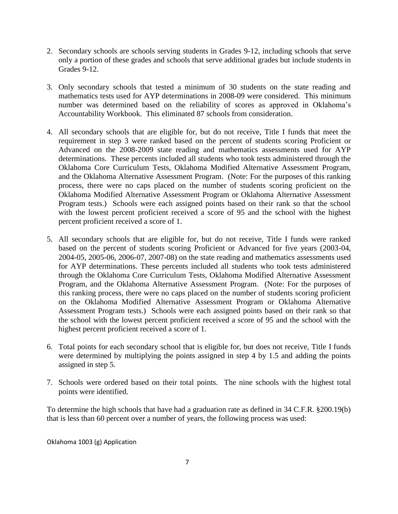- 2. Secondary schools are schools serving students in Grades 9-12, including schools that serve only a portion of these grades and schools that serve additional grades but include students in Grades 9-12.
- 3. Only secondary schools that tested a minimum of 30 students on the state reading and mathematics tests used for AYP determinations in 2008-09 were considered. This minimum number was determined based on the reliability of scores as approved in Oklahoma's Accountability Workbook. This eliminated 87 schools from consideration.
- 4. All secondary schools that are eligible for, but do not receive, Title I funds that meet the requirement in step 3 were ranked based on the percent of students scoring Proficient or Advanced on the 2008-2009 state reading and mathematics assessments used for AYP determinations. These percents included all students who took tests administered through the Oklahoma Core Curriculum Tests, Oklahoma Modified Alternative Assessment Program, and the Oklahoma Alternative Assessment Program. (Note: For the purposes of this ranking process, there were no caps placed on the number of students scoring proficient on the Oklahoma Modified Alternative Assessment Program or Oklahoma Alternative Assessment Program tests.) Schools were each assigned points based on their rank so that the school with the lowest percent proficient received a score of 95 and the school with the highest percent proficient received a score of 1.
- 5. All secondary schools that are eligible for, but do not receive, Title I funds were ranked based on the percent of students scoring Proficient or Advanced for five years (2003-04, 2004-05, 2005-06, 2006-07, 2007-08) on the state reading and mathematics assessments used for AYP determinations. These percents included all students who took tests administered through the Oklahoma Core Curriculum Tests, Oklahoma Modified Alternative Assessment Program, and the Oklahoma Alternative Assessment Program. (Note: For the purposes of this ranking process, there were no caps placed on the number of students scoring proficient on the Oklahoma Modified Alternative Assessment Program or Oklahoma Alternative Assessment Program tests.) Schools were each assigned points based on their rank so that the school with the lowest percent proficient received a score of 95 and the school with the highest percent proficient received a score of 1.
- 6. Total points for each secondary school that is eligible for, but does not receive, Title I funds were determined by multiplying the points assigned in step 4 by 1.5 and adding the points assigned in step 5.
- 7. Schools were ordered based on their total points. The nine schools with the highest total points were identified.

To determine the high schools that have had a graduation rate as defined in 34 C.F.R. §200.19(b) that is less than 60 percent over a number of years, the following process was used: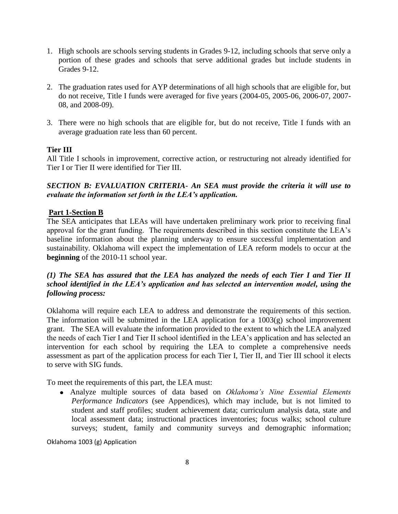- 1. High schools are schools serving students in Grades 9-12, including schools that serve only a portion of these grades and schools that serve additional grades but include students in Grades 9-12.
- 2. The graduation rates used for AYP determinations of all high schools that are eligible for, but do not receive, Title I funds were averaged for five years (2004-05, 2005-06, 2006-07, 2007- 08, and 2008-09).
- 3. There were no high schools that are eligible for, but do not receive, Title I funds with an average graduation rate less than 60 percent.

# **Tier III**

All Title I schools in improvement, corrective action, or restructuring not already identified for Tier I or Tier II were identified for Tier III.

#### *SECTION B: EVALUATION CRITERIA- An SEA must provide the criteria it will use to evaluate the information set forth in the LEA's application.*

#### **Part 1-Section B**

The SEA anticipates that LEAs will have undertaken preliminary work prior to receiving final approval for the grant funding. The requirements described in this section constitute the LEA's baseline information about the planning underway to ensure successful implementation and sustainability. Oklahoma will expect the implementation of LEA reform models to occur at the **beginning** of the 2010-11 school year.

# *(1) The SEA has assured that the LEA has analyzed the needs of each Tier I and Tier II school identified in the LEA's application and has selected an intervention model, using the following process:*

Oklahoma will require each LEA to address and demonstrate the requirements of this section. The information will be submitted in the LEA application for a  $1003(g)$  school improvement grant. The SEA will evaluate the information provided to the extent to which the LEA analyzed the needs of each Tier I and Tier II school identified in the LEA's application and has selected an intervention for each school by requiring the LEA to complete a comprehensive needs assessment as part of the application process for each Tier I, Tier II, and Tier III school it elects to serve with SIG funds.

To meet the requirements of this part, the LEA must:

Analyze multiple sources of data based on *Oklahoma's Nine Essential Elements Performance Indicators* (see Appendices), which may include, but is not limited to student and staff profiles; student achievement data; curriculum analysis data, state and local assessment data; instructional practices inventories; focus walks; school culture surveys; student, family and community surveys and demographic information;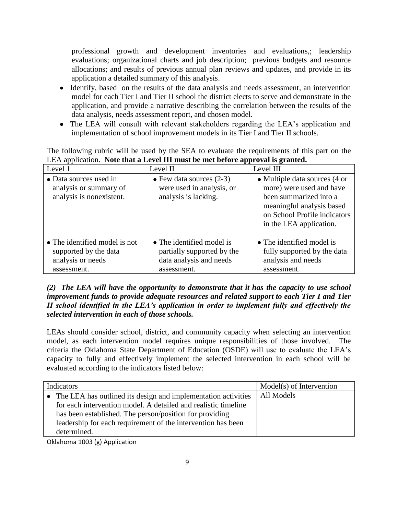professional growth and development inventories and evaluations,; leadership evaluations; organizational charts and job description; previous budgets and resource allocations; and results of previous annual plan reviews and updates, and provide in its application a detailed summary of this analysis.

- Identify, based on the results of the data analysis and needs assessment, an intervention model for each Tier I and Tier II school the district elects to serve and demonstrate in the application, and provide a narrative describing the correlation between the results of the data analysis, needs assessment report, and chosen model.
- The LEA will consult with relevant stakeholders regarding the LEA's application and implementation of school improvement models in its Tier I and Tier II schools.

The following rubric will be used by the SEA to evaluate the requirements of this part on the LEA application. **Note that a Level III must be met before approval is granted.**

| Level 1                                                                                    | Level II                                                                                          | Level III                                                                                                                                                                                 |
|--------------------------------------------------------------------------------------------|---------------------------------------------------------------------------------------------------|-------------------------------------------------------------------------------------------------------------------------------------------------------------------------------------------|
| • Data sources used in<br>analysis or summary of<br>analysis is nonexistent.               | $\bullet$ Few data sources (2-3)<br>were used in analysis, or<br>analysis is lacking.             | • Multiple data sources $(4 \text{ or } 4)$<br>more) were used and have<br>been summarized into a<br>meaningful analysis based<br>on School Profile indicators<br>in the LEA application. |
| • The identified model is not<br>supported by the data<br>analysis or needs<br>assessment. | • The identified model is<br>partially supported by the<br>data analysis and needs<br>assessment. | • The identified model is<br>fully supported by the data<br>analysis and needs<br>assessment.                                                                                             |

#### *(2) The LEA will have the opportunity to demonstrate that it has the capacity to use school improvement funds to provide adequate resources and related support to each Tier I and Tier II school identified in the LEA's application in order to implement fully and effectively the selected intervention in each of those schools.*

LEAs should consider school, district, and community capacity when selecting an intervention model, as each intervention model requires unique responsibilities of those involved. The criteria the Oklahoma State Department of Education (OSDE) will use to evaluate the LEA's capacity to fully and effectively implement the selected intervention in each school will be evaluated according to the indicators listed below:

|           | Indicators                                                     | Model(s) of Intervention |
|-----------|----------------------------------------------------------------|--------------------------|
| $\bullet$ | The LEA has outlined its design and implementation activities  | All Models               |
|           | for each intervention model. A detailed and realistic timeline |                          |
|           | has been established. The person/position for providing        |                          |
|           | leadership for each requirement of the intervention has been   |                          |
|           | determined.                                                    |                          |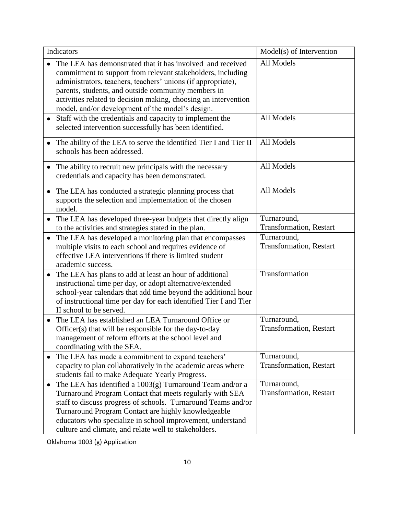| Indicators                                                                                                                                                                                                                                                                                                                                                                  | Model(s) of Intervention                       |
|-----------------------------------------------------------------------------------------------------------------------------------------------------------------------------------------------------------------------------------------------------------------------------------------------------------------------------------------------------------------------------|------------------------------------------------|
| The LEA has demonstrated that it has involved and received<br>commitment to support from relevant stakeholders, including<br>administrators, teachers, teachers' unions (if appropriate),<br>parents, students, and outside community members in<br>activities related to decision making, choosing an intervention<br>model, and/or development of the model's design.     | All Models                                     |
| Staff with the credentials and capacity to implement the<br>selected intervention successfully has been identified.                                                                                                                                                                                                                                                         | All Models                                     |
| The ability of the LEA to serve the identified Tier I and Tier II<br>schools has been addressed.                                                                                                                                                                                                                                                                            | All Models                                     |
| The ability to recruit new principals with the necessary<br>credentials and capacity has been demonstrated.                                                                                                                                                                                                                                                                 | All Models                                     |
| The LEA has conducted a strategic planning process that<br>supports the selection and implementation of the chosen<br>model.                                                                                                                                                                                                                                                | All Models                                     |
| The LEA has developed three-year budgets that directly align<br>$\bullet$<br>to the activities and strategies stated in the plan.                                                                                                                                                                                                                                           | Turnaround,<br>Transformation, Restart         |
| The LEA has developed a monitoring plan that encompasses<br>$\bullet$<br>multiple visits to each school and requires evidence of<br>effective LEA interventions if there is limited student<br>academic success.                                                                                                                                                            | Turnaround,<br><b>Transformation</b> , Restart |
| The LEA has plans to add at least an hour of additional<br>$\bullet$<br>instructional time per day, or adopt alternative/extended<br>school-year calendars that add time beyond the additional hour<br>of instructional time per day for each identified Tier I and Tier<br>II school to be served.                                                                         | Transformation                                 |
| The LEA has established an LEA Turnaround Office or<br>Officer(s) that will be responsible for the day-to-day<br>management of reform efforts at the school level and<br>coordinating with the SEA.                                                                                                                                                                         | Turnaround,<br><b>Transformation</b> , Restart |
| The LEA has made a commitment to expand teachers'<br>٠<br>capacity to plan collaboratively in the academic areas where<br>students fail to make Adequate Yearly Progress.                                                                                                                                                                                                   | Turnaround,<br>Transformation, Restart         |
| The LEA has identified a $1003(g)$ Turnaround Team and/or a<br>٠<br>Turnaround Program Contact that meets regularly with SEA<br>staff to discuss progress of schools. Turnaround Teams and/or<br>Turnaround Program Contact are highly knowledgeable<br>educators who specialize in school improvement, understand<br>culture and climate, and relate well to stakeholders. | Turnaround,<br><b>Transformation</b> , Restart |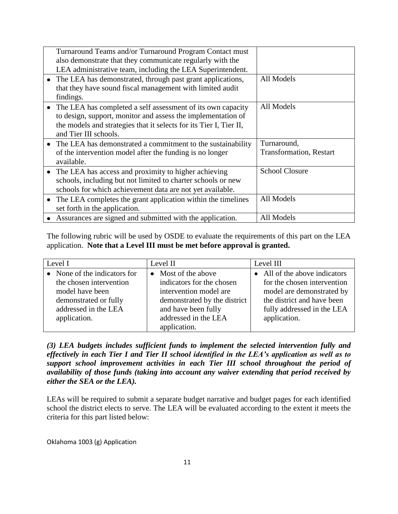|           | Turnaround Teams and/or Turnaround Program Contact must<br>also demonstrate that they communicate regularly with the<br>LEA administrative team, including the LEA Superintendent.                                         |                                               |
|-----------|----------------------------------------------------------------------------------------------------------------------------------------------------------------------------------------------------------------------------|-----------------------------------------------|
|           | • The LEA has demonstrated, through past grant applications,<br>that they have sound fiscal management with limited audit<br>findings.                                                                                     | All Models                                    |
| $\bullet$ | The LEA has completed a self assessment of its own capacity<br>to design, support, monitor and assess the implementation of<br>the models and strategies that it selects for its Tier I, Tier II,<br>and Tier III schools. | All Models                                    |
|           | The LEA has demonstrated a commitment to the sustainability<br>of the intervention model after the funding is no longer<br>available.                                                                                      | Turnaround,<br><b>Transformation, Restart</b> |
| $\bullet$ | The LEA has access and proximity to higher achieving<br>schools, including but not limited to charter schools or new<br>schools for which achievement data are not yet available.                                          | <b>School Closure</b>                         |
| $\bullet$ | The LEA completes the grant application within the timelines<br>set forth in the application.                                                                                                                              | All Models                                    |
|           | Assurances are signed and submitted with the application.                                                                                                                                                                  | All Models                                    |

The following rubric will be used by OSDE to evaluate the requirements of this part on the LEA application. **Note that a Level III must be met before approval is granted.**

| Level I                                                                                                                     | Level II                                                                                                                          | Level III                                                                                                                                             |  |  |
|-----------------------------------------------------------------------------------------------------------------------------|-----------------------------------------------------------------------------------------------------------------------------------|-------------------------------------------------------------------------------------------------------------------------------------------------------|--|--|
| • None of the indicators for<br>the chosen intervention<br>model have been<br>demonstrated or fully<br>addressed in the LEA | • Most of the above<br>indicators for the chosen<br>intervention model are<br>demonstrated by the district<br>and have been fully | • All of the above indicators<br>for the chosen intervention<br>model are demonstrated by<br>the district and have been<br>fully addressed in the LEA |  |  |
| application.                                                                                                                | addressed in the LEA<br>application.                                                                                              | application.                                                                                                                                          |  |  |

*(3) LEA budgets includes sufficient funds to implement the selected intervention fully and effectively in each Tier I and Tier II school identified in the LEA's application as well as to support school improvement activities in each Tier III school throughout the period of availability of those funds (taking into account any waiver extending that period received by either the SEA or the LEA).* 

LEAs will be required to submit a separate budget narrative and budget pages for each identified school the district elects to serve. The LEA will be evaluated according to the extent it meets the criteria for this part listed below: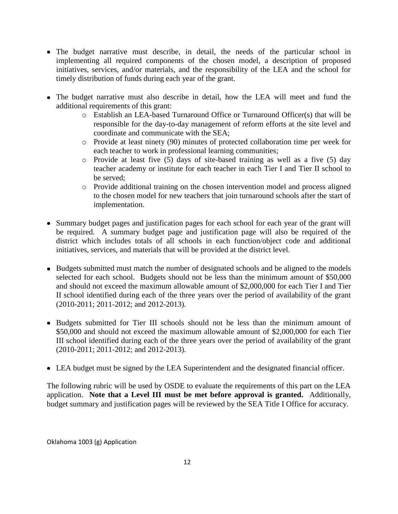- The budget narrative must describe, in detail, the needs of the particular school in implementing all required components of the chosen model, a description of proposed initiatives, services, and/or materials, and the responsibility of the LEA and the school for timely distribution of funds during each year of the grant.
- The budget narrative must also describe in detail, how the LEA will meet and fund the additional requirements of this grant:
	- o Establish an LEA-based Turnaround Office or Turnaround Officer(s) that will be responsible for the day-to-day management of reform efforts at the site level and coordinate and communicate with the SEA;
	- o Provide at least ninety (90) minutes of protected collaboration time per week for each teacher to work in professional learning communities;
	- o Provide at least five (5) days of site-based training as well as a five (5) day teacher academy or institute for each teacher in each Tier I and Tier II school to be served;
	- o Provide additional training on the chosen intervention model and process aligned to the chosen model for new teachers that join turnaround schools after the start of implementation.
- Summary budget pages and justification pages for each school for each year of the grant will be required. A summary budget page and justification page will also be required of the district which includes totals of all schools in each function/object code and additional initiatives, services, and materials that will be provided at the district level.
- Budgets submitted must match the number of designated schools and be aligned to the models selected for each school. Budgets should not be less than the minimum amount of \$50,000 and should not exceed the maximum allowable amount of \$2,000,000 for each Tier I and Tier II school identified during each of the three years over the period of availability of the grant (2010-2011; 2011-2012; and 2012-2013).
- Budgets submitted for Tier III schools should not be less than the minimum amount of \$50,000 and should not exceed the maximum allowable amount of \$2,000,000 for each Tier III school identified during each of the three years over the period of availability of the grant (2010-2011; 2011-2012; and 2012-2013).
- LEA budget must be signed by the LEA Superintendent and the designated financial officer.

The following rubric will be used by OSDE to evaluate the requirements of this part on the LEA application. **Note that a Level III must be met before approval is granted.** Additionally, budget summary and justification pages will be reviewed by the SEA Title I Office for accuracy.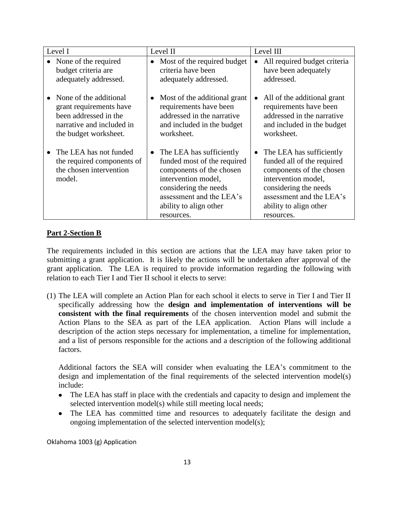| Level I                                                                                                                          | Level II                                                                                                                                                                                                             | Level III                                                                                                                                                                                              |
|----------------------------------------------------------------------------------------------------------------------------------|----------------------------------------------------------------------------------------------------------------------------------------------------------------------------------------------------------------------|--------------------------------------------------------------------------------------------------------------------------------------------------------------------------------------------------------|
| None of the required<br>budget criteria are<br>adequately addressed.                                                             | Most of the required budget<br>$\bullet$<br>criteria have been<br>adequately addressed.                                                                                                                              | All required budget criteria<br>have been adequately<br>addressed.                                                                                                                                     |
| None of the additional<br>grant requirements have<br>been addressed in the<br>narrative and included in<br>the budget worksheet. | Most of the additional grant<br>requirements have been<br>addressed in the narrative<br>and included in the budget<br>worksheet.                                                                                     | All of the additional grant<br>requirements have been<br>addressed in the narrative<br>and included in the budget<br>worksheet.                                                                        |
| The LEA has not funded<br>the required components of<br>the chosen intervention<br>model.                                        | The LEA has sufficiently<br>$\bullet$<br>funded most of the required<br>components of the chosen<br>intervention model,<br>considering the needs<br>assessment and the LEA's<br>ability to align other<br>resources. | The LEA has sufficiently<br>funded all of the required<br>components of the chosen<br>intervention model,<br>considering the needs<br>assessment and the LEA's<br>ability to align other<br>resources. |

#### **Part 2-Section B**

The requirements included in this section are actions that the LEA may have taken prior to submitting a grant application. It is likely the actions will be undertaken after approval of the grant application. The LEA is required to provide information regarding the following with relation to each Tier I and Tier II school it elects to serve:

(1) The LEA will complete an Action Plan for each school it elects to serve in Tier I and Tier II specifically addressing how the **design and implementation of interventions will be consistent with the final requirements** of the chosen intervention model and submit the Action Plans to the SEA as part of the LEA application. Action Plans will include a description of the action steps necessary for implementation, a timeline for implementation, and a list of persons responsible for the actions and a description of the following additional factors.

Additional factors the SEA will consider when evaluating the LEA's commitment to the design and implementation of the final requirements of the selected intervention model(s) include:

- The LEA has staff in place with the credentials and capacity to design and implement the  $\bullet$ selected intervention model(s) while still meeting local needs;
- The LEA has committed time and resources to adequately facilitate the design and ongoing implementation of the selected intervention model(s);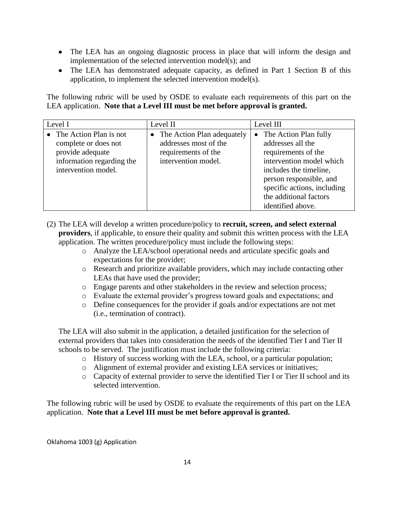- The LEA has an ongoing diagnostic process in place that will inform the design and implementation of the selected intervention model(s); and
- The LEA has demonstrated adequate capacity, as defined in Part 1 Section B of this application, to implement the selected intervention model(s).

The following rubric will be used by OSDE to evaluate each requirements of this part on the LEA application. **Note that a Level III must be met before approval is granted.**

| Level I                                                                                                                          | Level II                                                                                          | Level III                                                                                                                                                                                                                                     |  |  |
|----------------------------------------------------------------------------------------------------------------------------------|---------------------------------------------------------------------------------------------------|-----------------------------------------------------------------------------------------------------------------------------------------------------------------------------------------------------------------------------------------------|--|--|
| $\bullet$ The Action Plan is not<br>complete or does not<br>provide adequate<br>information regarding the<br>intervention model. | The Action Plan adequately<br>addresses most of the<br>requirements of the<br>intervention model. | The Action Plan fully<br>$\bullet$<br>addresses all the<br>requirements of the<br>intervention model which<br>includes the timeline,<br>person responsible, and<br>specific actions, including<br>the additional factors<br>identified above. |  |  |

- (2) The LEA will develop a written procedure/policy to **recruit, screen, and select external providers**, if applicable, to ensure their quality and submit this written process with the LEA application. The written procedure/policy must include the following steps:
	- o Analyze the LEA/school operational needs and articulate specific goals and expectations for the provider;
	- o Research and prioritize available providers, which may include contacting other LEAs that have used the provider;
	- o Engage parents and other stakeholders in the review and selection process;
	- o Evaluate the external provider's progress toward goals and expectations; and
	- o Define consequences for the provider if goals and/or expectations are not met (i.e., termination of contract).

The LEA will also submit in the application, a detailed justification for the selection of external providers that takes into consideration the needs of the identified Tier I and Tier II schools to be served. The justification must include the following criteria:

- o History of success working with the LEA, school, or a particular population;
- o Alignment of external provider and existing LEA services or initiatives;
- o Capacity of external provider to serve the identified Tier I or Tier II school and its selected intervention.

The following rubric will be used by OSDE to evaluate the requirements of this part on the LEA application. **Note that a Level III must be met before approval is granted.**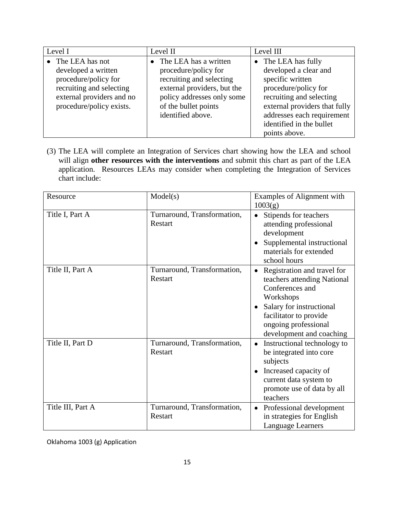| Level I                                                                                                                                               | Level II                                                                                                                                                                            | Level III                                                                                                                                                                         |
|-------------------------------------------------------------------------------------------------------------------------------------------------------|-------------------------------------------------------------------------------------------------------------------------------------------------------------------------------------|-----------------------------------------------------------------------------------------------------------------------------------------------------------------------------------|
| • The LEA has not<br>developed a written<br>procedure/policy for<br>recruiting and selecting<br>external providers and no<br>procedure/policy exists. | The LEA has a written<br>procedure/policy for<br>recruiting and selecting<br>external providers, but the<br>policy addresses only some<br>of the bullet points<br>identified above. | The LEA has fully<br>developed a clear and<br>specific written<br>procedure/policy for<br>recruiting and selecting<br>external providers that fully<br>addresses each requirement |
|                                                                                                                                                       |                                                                                                                                                                                     | identified in the bullet<br>points above.                                                                                                                                         |

(3) The LEA will complete an Integration of Services chart showing how the LEA and school will align **other resources with the interventions** and submit this chart as part of the LEA application. Resources LEAs may consider when completing the Integration of Services chart include:

| Resource          | Model(s)                               | Examples of Alignment with<br>1003(g)                                                                                                                                                                |
|-------------------|----------------------------------------|------------------------------------------------------------------------------------------------------------------------------------------------------------------------------------------------------|
| Title I, Part A   | Turnaround, Transformation,<br>Restart | Stipends for teachers<br>attending professional<br>development<br>Supplemental instructional<br>materials for extended<br>school hours                                                               |
| Title II, Part A  | Turnaround, Transformation,<br>Restart | Registration and travel for<br>teachers attending National<br>Conferences and<br>Workshops<br>Salary for instructional<br>facilitator to provide<br>ongoing professional<br>development and coaching |
| Title II, Part D  | Turnaround, Transformation,<br>Restart | Instructional technology to<br>be integrated into core<br>subjects<br>Increased capacity of<br>current data system to<br>promote use of data by all<br>teachers                                      |
| Title III, Part A | Turnaround, Transformation,<br>Restart | Professional development<br>in strategies for English<br>Language Learners                                                                                                                           |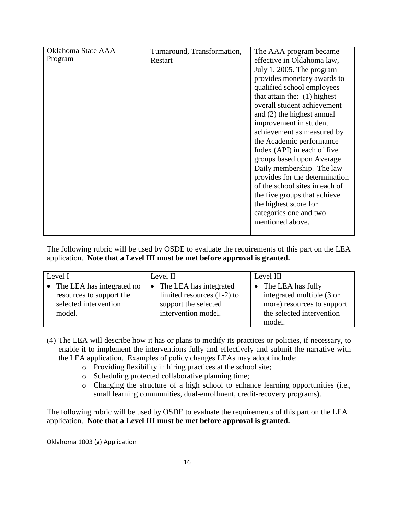| Oklahoma State AAA | Turnaround, Transformation, | The AAA program became         |
|--------------------|-----------------------------|--------------------------------|
| Program            | Restart                     | effective in Oklahoma law,     |
|                    |                             | July 1, 2005. The program      |
|                    |                             | provides monetary awards to    |
|                    |                             | qualified school employees     |
|                    |                             | that attain the: $(1)$ highest |
|                    |                             | overall student achievement    |
|                    |                             | and (2) the highest annual     |
|                    |                             | improvement in student         |
|                    |                             | achievement as measured by     |
|                    |                             | the Academic performance       |
|                    |                             | Index (API) in each of five    |
|                    |                             | groups based upon Average      |
|                    |                             | Daily membership. The law      |
|                    |                             | provides for the determination |
|                    |                             | of the school sites in each of |
|                    |                             | the five groups that achieve   |
|                    |                             | the highest score for          |
|                    |                             | categories one and two         |
|                    |                             | mentioned above.               |
|                    |                             |                                |

The following rubric will be used by OSDE to evaluate the requirements of this part on the LEA application. **Note that a Level III must be met before approval is granted.**

| Level I                                                                                    | Level II                                                                                                           | Level III                                                                                                           |  |
|--------------------------------------------------------------------------------------------|--------------------------------------------------------------------------------------------------------------------|---------------------------------------------------------------------------------------------------------------------|--|
| • The LEA has integrated no<br>resources to support the<br>selected intervention<br>model. | The LEA has integrated<br>$\bullet$<br>limited resources $(1-2)$ to<br>support the selected<br>intervention model. | The LEA has fully<br>integrated multiple (3 or<br>more) resources to support<br>the selected intervention<br>model. |  |

- (4) The LEA will describe how it has or plans to modify its practices or policies, if necessary, to enable it to implement the interventions fully and effectively and submit the narrative with the LEA application. Examples of policy changes LEAs may adopt include:
	- o Providing flexibility in hiring practices at the school site;
	- o Scheduling protected collaborative planning time;
	- o Changing the structure of a high school to enhance learning opportunities (i.e., small learning communities, dual-enrollment, credit-recovery programs).

The following rubric will be used by OSDE to evaluate the requirements of this part on the LEA application. **Note that a Level III must be met before approval is granted.**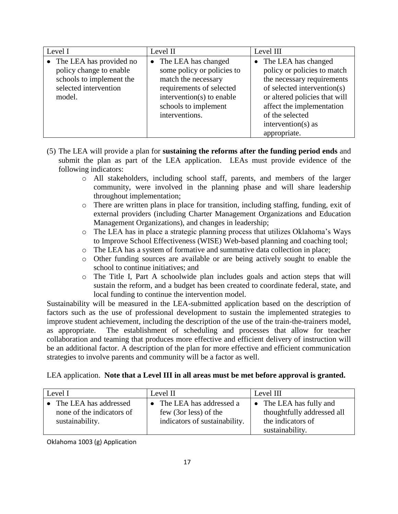| Level I                                                                                                             | Level II                                                                                                                                                                                 | Level III                                                                                                                                                                                                                                  |  |
|---------------------------------------------------------------------------------------------------------------------|------------------------------------------------------------------------------------------------------------------------------------------------------------------------------------------|--------------------------------------------------------------------------------------------------------------------------------------------------------------------------------------------------------------------------------------------|--|
| • The LEA has provided no<br>policy change to enable<br>schools to implement the<br>selected intervention<br>model. | The LEA has changed<br>$\bullet$<br>some policy or policies to<br>match the necessary<br>requirements of selected<br>intervention(s) to enable<br>schools to implement<br>interventions. | The LEA has changed<br>policy or policies to match<br>the necessary requirements<br>of selected intervention(s)<br>or altered policies that will<br>affect the implementation<br>of the selected<br>intervention( $s$ ) as<br>appropriate. |  |

- (5) The LEA will provide a plan for **sustaining the reforms after the funding period ends** and submit the plan as part of the LEA application. LEAs must provide evidence of the following indicators:
	- o All stakeholders, including school staff, parents, and members of the larger community, were involved in the planning phase and will share leadership throughout implementation;
	- o There are written plans in place for transition, including staffing, funding, exit of external providers (including Charter Management Organizations and Education Management Organizations), and changes in leadership;
	- o The LEA has in place a strategic planning process that utilizes Oklahoma's Ways to Improve School Effectiveness (WISE) Web-based planning and coaching tool;
	- o The LEA has a system of formative and summative data collection in place;
	- o Other funding sources are available or are being actively sought to enable the school to continue initiatives; and
	- o The Title I, Part A schoolwide plan includes goals and action steps that will sustain the reform, and a budget has been created to coordinate federal, state, and local funding to continue the intervention model.

Sustainability will be measured in the LEA-submitted application based on the description of factors such as the use of professional development to sustain the implemented strategies to improve student achievement, including the description of the use of the train-the-trainers model, as appropriate. The establishment of scheduling and processes that allow for teacher collaboration and teaming that produces more effective and efficient delivery of instruction will be an additional factor. A description of the plan for more effective and efficient communication strategies to involve parents and community will be a factor as well.

LEA application. **Note that a Level III in all areas must be met before approval is granted.**

| Level I                                                               | Level II                                                                          | Level III                                                                                     |  |
|-----------------------------------------------------------------------|-----------------------------------------------------------------------------------|-----------------------------------------------------------------------------------------------|--|
| The LEA has addressed<br>none of the indicators of<br>sustainability. | The LEA has addressed a<br>few (3or less) of the<br>indicators of sustainability. | • The LEA has fully and<br>thoughtfully addressed all<br>the indicators of<br>sustainability. |  |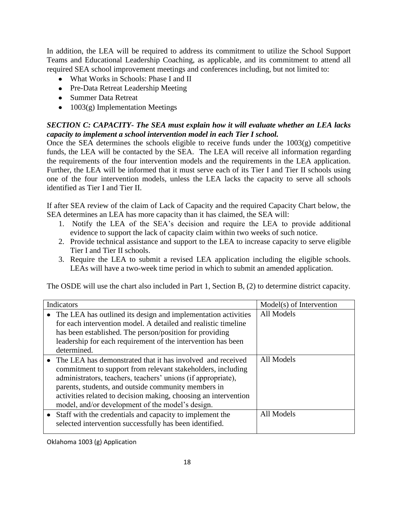In addition, the LEA will be required to address its commitment to utilize the School Support Teams and Educational Leadership Coaching, as applicable, and its commitment to attend all required SEA school improvement meetings and conferences including, but not limited to:

- What Works in Schools: Phase I and II
- Pre-Data Retreat Leadership Meeting
- Summer Data Retreat
- $\bullet$  1003(g) Implementation Meetings

# *SECTION C: CAPACITY- The SEA must explain how it will evaluate whether an LEA lacks capacity to implement a school intervention model in each Tier I school.*

Once the SEA determines the schools eligible to receive funds under the  $1003(g)$  competitive funds, the LEA will be contacted by the SEA. The LEA will receive all information regarding the requirements of the four intervention models and the requirements in the LEA application. Further, the LEA will be informed that it must serve each of its Tier I and Tier II schools using one of the four intervention models, unless the LEA lacks the capacity to serve all schools identified as Tier I and Tier II.

If after SEA review of the claim of Lack of Capacity and the required Capacity Chart below, the SEA determines an LEA has more capacity than it has claimed, the SEA will:

- 1. Notify the LEA of the SEA's decision and require the LEA to provide additional evidence to support the lack of capacity claim within two weeks of such notice.
- 2. Provide technical assistance and support to the LEA to increase capacity to serve eligible Tier I and Tier II schools.
- 3. Require the LEA to submit a revised LEA application including the eligible schools. LEAs will have a two-week time period in which to submit an amended application.

The OSDE will use the chart also included in Part 1, Section B, (2) to determine district capacity.

| Indicators                                                                                                                                                                                                                                                                                                                                                              | Model(s) of Intervention |
|-------------------------------------------------------------------------------------------------------------------------------------------------------------------------------------------------------------------------------------------------------------------------------------------------------------------------------------------------------------------------|--------------------------|
| The LEA has outlined its design and implementation activities<br>for each intervention model. A detailed and realistic timeline<br>has been established. The person/position for providing<br>leadership for each requirement of the intervention has been<br>determined.                                                                                               | All Models               |
| The LEA has demonstrated that it has involved and received<br>commitment to support from relevant stakeholders, including<br>administrators, teachers, teachers' unions (if appropriate),<br>parents, students, and outside community members in<br>activities related to decision making, choosing an intervention<br>model, and/or development of the model's design. | All Models               |
| • Staff with the credentials and capacity to implement the<br>selected intervention successfully has been identified.                                                                                                                                                                                                                                                   | All Models               |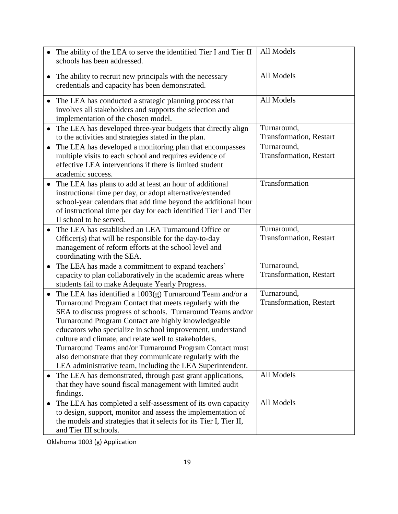|                        | The ability of the LEA to serve the identified Tier I and Tier II<br>schools has been addressed.                                                                                                                                                                                                                                                                                                                                                                                                                                                                                                                                                                                                                                                                                                                                                                                                                                                                                                                                                                                                                                          | All Models                                                                                                                                                                        |
|------------------------|-------------------------------------------------------------------------------------------------------------------------------------------------------------------------------------------------------------------------------------------------------------------------------------------------------------------------------------------------------------------------------------------------------------------------------------------------------------------------------------------------------------------------------------------------------------------------------------------------------------------------------------------------------------------------------------------------------------------------------------------------------------------------------------------------------------------------------------------------------------------------------------------------------------------------------------------------------------------------------------------------------------------------------------------------------------------------------------------------------------------------------------------|-----------------------------------------------------------------------------------------------------------------------------------------------------------------------------------|
|                        |                                                                                                                                                                                                                                                                                                                                                                                                                                                                                                                                                                                                                                                                                                                                                                                                                                                                                                                                                                                                                                                                                                                                           |                                                                                                                                                                                   |
| $\bullet$              | The ability to recruit new principals with the necessary                                                                                                                                                                                                                                                                                                                                                                                                                                                                                                                                                                                                                                                                                                                                                                                                                                                                                                                                                                                                                                                                                  | All Models                                                                                                                                                                        |
|                        | credentials and capacity has been demonstrated.                                                                                                                                                                                                                                                                                                                                                                                                                                                                                                                                                                                                                                                                                                                                                                                                                                                                                                                                                                                                                                                                                           |                                                                                                                                                                                   |
| $\bullet$              | The LEA has conducted a strategic planning process that                                                                                                                                                                                                                                                                                                                                                                                                                                                                                                                                                                                                                                                                                                                                                                                                                                                                                                                                                                                                                                                                                   | All Models                                                                                                                                                                        |
|                        | involves all stakeholders and supports the selection and                                                                                                                                                                                                                                                                                                                                                                                                                                                                                                                                                                                                                                                                                                                                                                                                                                                                                                                                                                                                                                                                                  |                                                                                                                                                                                   |
|                        | implementation of the chosen model.                                                                                                                                                                                                                                                                                                                                                                                                                                                                                                                                                                                                                                                                                                                                                                                                                                                                                                                                                                                                                                                                                                       |                                                                                                                                                                                   |
| ٠                      | The LEA has developed three-year budgets that directly align                                                                                                                                                                                                                                                                                                                                                                                                                                                                                                                                                                                                                                                                                                                                                                                                                                                                                                                                                                                                                                                                              | Turnaround,                                                                                                                                                                       |
|                        | to the activities and strategies stated in the plan.                                                                                                                                                                                                                                                                                                                                                                                                                                                                                                                                                                                                                                                                                                                                                                                                                                                                                                                                                                                                                                                                                      | Transformation, Restart                                                                                                                                                           |
| $\bullet$              | The LEA has developed a monitoring plan that encompasses                                                                                                                                                                                                                                                                                                                                                                                                                                                                                                                                                                                                                                                                                                                                                                                                                                                                                                                                                                                                                                                                                  | Turnaround,                                                                                                                                                                       |
|                        | multiple visits to each school and requires evidence of                                                                                                                                                                                                                                                                                                                                                                                                                                                                                                                                                                                                                                                                                                                                                                                                                                                                                                                                                                                                                                                                                   | <b>Transformation</b> , Restart                                                                                                                                                   |
|                        | effective LEA interventions if there is limited student<br>academic success.                                                                                                                                                                                                                                                                                                                                                                                                                                                                                                                                                                                                                                                                                                                                                                                                                                                                                                                                                                                                                                                              |                                                                                                                                                                                   |
|                        |                                                                                                                                                                                                                                                                                                                                                                                                                                                                                                                                                                                                                                                                                                                                                                                                                                                                                                                                                                                                                                                                                                                                           |                                                                                                                                                                                   |
|                        |                                                                                                                                                                                                                                                                                                                                                                                                                                                                                                                                                                                                                                                                                                                                                                                                                                                                                                                                                                                                                                                                                                                                           |                                                                                                                                                                                   |
|                        |                                                                                                                                                                                                                                                                                                                                                                                                                                                                                                                                                                                                                                                                                                                                                                                                                                                                                                                                                                                                                                                                                                                                           |                                                                                                                                                                                   |
|                        | of instructional time per day for each identified Tier I and Tier                                                                                                                                                                                                                                                                                                                                                                                                                                                                                                                                                                                                                                                                                                                                                                                                                                                                                                                                                                                                                                                                         |                                                                                                                                                                                   |
|                        | II school to be served.                                                                                                                                                                                                                                                                                                                                                                                                                                                                                                                                                                                                                                                                                                                                                                                                                                                                                                                                                                                                                                                                                                                   |                                                                                                                                                                                   |
| ٠                      | The LEA has established an LEA Turnaround Office or                                                                                                                                                                                                                                                                                                                                                                                                                                                                                                                                                                                                                                                                                                                                                                                                                                                                                                                                                                                                                                                                                       | Turnaround,                                                                                                                                                                       |
|                        | Officer(s) that will be responsible for the day-to-day                                                                                                                                                                                                                                                                                                                                                                                                                                                                                                                                                                                                                                                                                                                                                                                                                                                                                                                                                                                                                                                                                    |                                                                                                                                                                                   |
|                        |                                                                                                                                                                                                                                                                                                                                                                                                                                                                                                                                                                                                                                                                                                                                                                                                                                                                                                                                                                                                                                                                                                                                           |                                                                                                                                                                                   |
|                        |                                                                                                                                                                                                                                                                                                                                                                                                                                                                                                                                                                                                                                                                                                                                                                                                                                                                                                                                                                                                                                                                                                                                           |                                                                                                                                                                                   |
| $\bullet$              |                                                                                                                                                                                                                                                                                                                                                                                                                                                                                                                                                                                                                                                                                                                                                                                                                                                                                                                                                                                                                                                                                                                                           |                                                                                                                                                                                   |
|                        |                                                                                                                                                                                                                                                                                                                                                                                                                                                                                                                                                                                                                                                                                                                                                                                                                                                                                                                                                                                                                                                                                                                                           |                                                                                                                                                                                   |
|                        |                                                                                                                                                                                                                                                                                                                                                                                                                                                                                                                                                                                                                                                                                                                                                                                                                                                                                                                                                                                                                                                                                                                                           |                                                                                                                                                                                   |
|                        |                                                                                                                                                                                                                                                                                                                                                                                                                                                                                                                                                                                                                                                                                                                                                                                                                                                                                                                                                                                                                                                                                                                                           |                                                                                                                                                                                   |
|                        |                                                                                                                                                                                                                                                                                                                                                                                                                                                                                                                                                                                                                                                                                                                                                                                                                                                                                                                                                                                                                                                                                                                                           |                                                                                                                                                                                   |
|                        |                                                                                                                                                                                                                                                                                                                                                                                                                                                                                                                                                                                                                                                                                                                                                                                                                                                                                                                                                                                                                                                                                                                                           |                                                                                                                                                                                   |
|                        |                                                                                                                                                                                                                                                                                                                                                                                                                                                                                                                                                                                                                                                                                                                                                                                                                                                                                                                                                                                                                                                                                                                                           |                                                                                                                                                                                   |
|                        | culture and climate, and relate well to stakeholders.                                                                                                                                                                                                                                                                                                                                                                                                                                                                                                                                                                                                                                                                                                                                                                                                                                                                                                                                                                                                                                                                                     |                                                                                                                                                                                   |
|                        | Turnaround Teams and/or Turnaround Program Contact must                                                                                                                                                                                                                                                                                                                                                                                                                                                                                                                                                                                                                                                                                                                                                                                                                                                                                                                                                                                                                                                                                   |                                                                                                                                                                                   |
|                        | also demonstrate that they communicate regularly with the                                                                                                                                                                                                                                                                                                                                                                                                                                                                                                                                                                                                                                                                                                                                                                                                                                                                                                                                                                                                                                                                                 |                                                                                                                                                                                   |
|                        | LEA administrative team, including the LEA Superintendent.                                                                                                                                                                                                                                                                                                                                                                                                                                                                                                                                                                                                                                                                                                                                                                                                                                                                                                                                                                                                                                                                                |                                                                                                                                                                                   |
|                        |                                                                                                                                                                                                                                                                                                                                                                                                                                                                                                                                                                                                                                                                                                                                                                                                                                                                                                                                                                                                                                                                                                                                           |                                                                                                                                                                                   |
|                        |                                                                                                                                                                                                                                                                                                                                                                                                                                                                                                                                                                                                                                                                                                                                                                                                                                                                                                                                                                                                                                                                                                                                           |                                                                                                                                                                                   |
|                        |                                                                                                                                                                                                                                                                                                                                                                                                                                                                                                                                                                                                                                                                                                                                                                                                                                                                                                                                                                                                                                                                                                                                           |                                                                                                                                                                                   |
|                        |                                                                                                                                                                                                                                                                                                                                                                                                                                                                                                                                                                                                                                                                                                                                                                                                                                                                                                                                                                                                                                                                                                                                           |                                                                                                                                                                                   |
|                        |                                                                                                                                                                                                                                                                                                                                                                                                                                                                                                                                                                                                                                                                                                                                                                                                                                                                                                                                                                                                                                                                                                                                           |                                                                                                                                                                                   |
|                        |                                                                                                                                                                                                                                                                                                                                                                                                                                                                                                                                                                                                                                                                                                                                                                                                                                                                                                                                                                                                                                                                                                                                           |                                                                                                                                                                                   |
| $\bullet$<br>$\bullet$ | The LEA has plans to add at least an hour of additional<br>instructional time per day, or adopt alternative/extended<br>school-year calendars that add time beyond the additional hour<br>management of reform efforts at the school level and<br>coordinating with the SEA.<br>The LEA has made a commitment to expand teachers'<br>capacity to plan collaboratively in the academic areas where<br>students fail to make Adequate Yearly Progress.<br>The LEA has identified a $1003(g)$ Turnaround Team and/or a<br>Turnaround Program Contact that meets regularly with the<br>SEA to discuss progress of schools. Turnaround Teams and/or<br>Turnaround Program Contact are highly knowledgeable<br>educators who specialize in school improvement, understand<br>The LEA has demonstrated, through past grant applications,<br>that they have sound fiscal management with limited audit<br>findings.<br>The LEA has completed a self-assessment of its own capacity<br>to design, support, monitor and assess the implementation of<br>the models and strategies that it selects for its Tier I, Tier II,<br>and Tier III schools. | Transformation<br><b>Transformation</b> , Restart<br>Turnaround,<br><b>Transformation</b> , Restart<br>Turnaround,<br><b>Transformation</b> , Restart<br>All Models<br>All Models |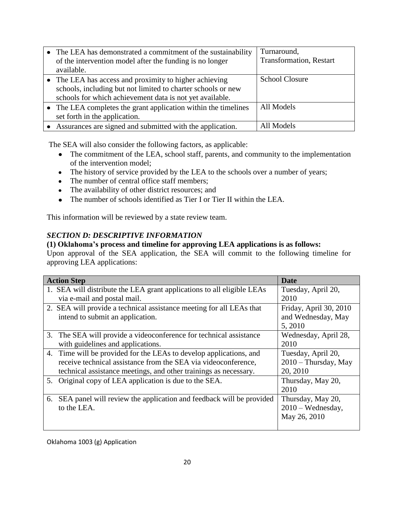| • The LEA has demonstrated a commitment of the sustainability<br>of the intervention model after the funding is no longer<br>available.                                            | Turnaround,<br><b>Transformation</b> , Restart |
|------------------------------------------------------------------------------------------------------------------------------------------------------------------------------------|------------------------------------------------|
| • The LEA has access and proximity to higher achieving<br>schools, including but not limited to charter schools or new<br>schools for which achievement data is not yet available. | <b>School Closure</b>                          |
| • The LEA completes the grant application within the timelines<br>set forth in the application.                                                                                    | All Models                                     |
| Assurances are signed and submitted with the application.                                                                                                                          | All Models                                     |

The SEA will also consider the following factors, as applicable:

- The commitment of the LEA, school staff, parents, and community to the implementation of the intervention model;
- The history of service provided by the LEA to the schools over a number of years;
- The number of central office staff members;
- The availability of other district resources; and
- The number of schools identified as Tier I or Tier II within the LEA.

This information will be reviewed by a state review team.

# *SECTION D: DESCRIPTIVE INFORMATION*

# **(1) Oklahoma's process and timeline for approving LEA applications is as follows:**

Upon approval of the SEA application, the SEA will commit to the following timeline for approving LEA applications:

| <b>Action Step</b>                                                        | <b>Date</b>            |
|---------------------------------------------------------------------------|------------------------|
| 1. SEA will distribute the LEA grant applications to all eligible LEAs    | Tuesday, April 20,     |
| via e-mail and postal mail.                                               | 2010                   |
| 2. SEA will provide a technical assistance meeting for all LEAs that      | Friday, April 30, 2010 |
| intend to submit an application.                                          | and Wednesday, May     |
|                                                                           | 5, 2010                |
| 3. The SEA will provide a videoconference for technical assistance        | Wednesday, April 28,   |
| with guidelines and applications.                                         | 2010                   |
| 4. Time will be provided for the LEAs to develop applications, and        | Tuesday, April 20,     |
| receive technical assistance from the SEA via videoconference,            | $2010$ – Thursday, May |
| technical assistance meetings, and other trainings as necessary.          | 20, 2010               |
| 5. Original copy of LEA application is due to the SEA.                    | Thursday, May 20,      |
|                                                                           | 2010                   |
| SEA panel will review the application and feedback will be provided<br>6. | Thursday, May 20,      |
| to the LEA.                                                               | $2010 - Wednesday$ ,   |
|                                                                           | May 26, 2010           |
|                                                                           |                        |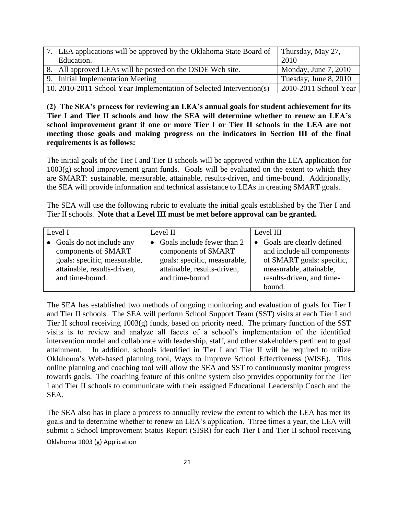| 7. LEA applications will be approved by the Oklahoma State Board of  | Thursday, May 27,     |
|----------------------------------------------------------------------|-----------------------|
| Education.                                                           | 2010                  |
| 8. All approved LEAs will be posted on the OSDE Web site.            | Monday, June 7, 2010  |
| 9. Initial Implementation Meeting                                    | Tuesday, June 8, 2010 |
| 10. 2010-2011 School Year Implementation of Selected Intervention(s) | 2010-2011 School Year |

**(2) The SEA's process for reviewing an LEA's annual goals for student achievement for its Tier I and Tier II schools and how the SEA will determine whether to renew an LEA's school improvement grant if one or more Tier I or Tier II schools in the LEA are not meeting those goals and making progress on the indicators in Section III of the final requirements is as follows:**

The initial goals of the Tier I and Tier II schools will be approved within the LEA application for 1003(g) school improvement grant funds. Goals will be evaluated on the extent to which they are SMART: sustainable, measurable, attainable, results-driven, and time-bound. Additionally, the SEA will provide information and technical assistance to LEAs in creating SMART goals.

The SEA will use the following rubric to evaluate the initial goals established by the Tier I and Tier II schools. **Note that a Level III must be met before approval can be granted.**

| Level I |                                                                                                                                     | Level II |                                                                                                                                         | Level III |                                                                                                                                                          |
|---------|-------------------------------------------------------------------------------------------------------------------------------------|----------|-----------------------------------------------------------------------------------------------------------------------------------------|-----------|----------------------------------------------------------------------------------------------------------------------------------------------------------|
|         | • Goals do not include any<br>components of SMART<br>goals: specific, measurable,<br>attainable, results-driven,<br>and time-bound. |          | • Goals include fewer than $2$<br>components of SMART<br>goals: specific, measurable,<br>attainable, results-driven,<br>and time-bound. |           | • Goals are clearly defined<br>and include all components<br>of SMART goals: specific,<br>measurable, attainable,<br>results-driven, and time-<br>bound. |

The SEA has established two methods of ongoing monitoring and evaluation of goals for Tier I and Tier II schools. The SEA will perform School Support Team (SST) visits at each Tier I and Tier II school receiving 1003(g) funds, based on priority need. The primary function of the SST visits is to review and analyze all facets of a school's implementation of the identified intervention model and collaborate with leadership, staff, and other stakeholders pertinent to goal attainment. In addition, schools identified in Tier I and Tier II will be required to utilize Oklahoma's Web-based planning tool, Ways to Improve School Effectiveness (WISE). This online planning and coaching tool will allow the SEA and SST to continuously monitor progress towards goals. The coaching feature of this online system also provides opportunity for the Tier I and Tier II schools to communicate with their assigned Educational Leadership Coach and the SEA.

Oklahoma 1003 (g) Application The SEA also has in place a process to annually review the extent to which the LEA has met its goals and to determine whether to renew an LEA's application. Three times a year, the LEA will submit a School Improvement Status Report (SISR) for each Tier I and Tier II school receiving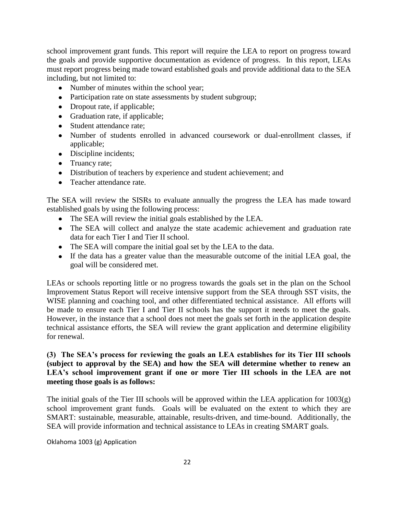school improvement grant funds. This report will require the LEA to report on progress toward the goals and provide supportive documentation as evidence of progress. In this report, LEAs must report progress being made toward established goals and provide additional data to the SEA including, but not limited to:

- Number of minutes within the school year;
- Participation rate on state assessments by student subgroup;
- Dropout rate, if applicable;
- Graduation rate, if applicable;
- Student attendance rate;
- Number of students enrolled in advanced coursework or dual-enrollment classes, if applicable;
- Discipline incidents;
- Truancy rate;
- Distribution of teachers by experience and student achievement; and
- Teacher attendance rate.

The SEA will review the SISRs to evaluate annually the progress the LEA has made toward established goals by using the following process:

- The SEA will review the initial goals established by the LEA.
- The SEA will collect and analyze the state academic achievement and graduation rate data for each Tier I and Tier II school.
- The SEA will compare the initial goal set by the LEA to the data.
- If the data has a greater value than the measurable outcome of the initial LEA goal, the goal will be considered met.

LEAs or schools reporting little or no progress towards the goals set in the plan on the School Improvement Status Report will receive intensive support from the SEA through SST visits, the WISE planning and coaching tool, and other differentiated technical assistance. All efforts will be made to ensure each Tier I and Tier II schools has the support it needs to meet the goals. However, in the instance that a school does not meet the goals set forth in the application despite technical assistance efforts, the SEA will review the grant application and determine eligibility for renewal.

#### **(3) The SEA's process for reviewing the goals an LEA establishes for its Tier III schools (subject to approval by the SEA) and how the SEA will determine whether to renew an LEA's school improvement grant if one or more Tier III schools in the LEA are not meeting those goals is as follows:**

The initial goals of the Tier III schools will be approved within the LEA application for 1003(g) school improvement grant funds. Goals will be evaluated on the extent to which they are SMART: sustainable, measurable, attainable, results-driven, and time-bound. Additionally, the SEA will provide information and technical assistance to LEAs in creating SMART goals.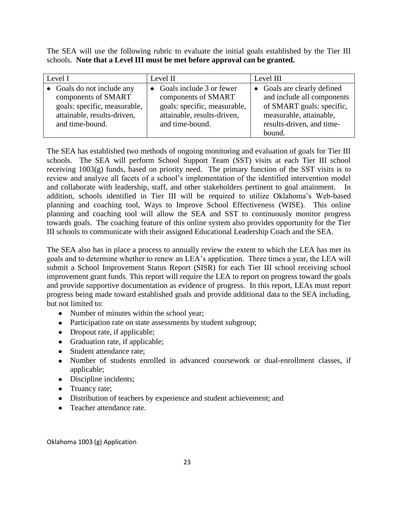The SEA will use the following rubric to evaluate the initial goals established by the Tier III schools. **Note that a Level III must be met before approval can be granted.**

| Level I |                                                                                   | Level II |                                                                                     | Level III |                                                                                        |
|---------|-----------------------------------------------------------------------------------|----------|-------------------------------------------------------------------------------------|-----------|----------------------------------------------------------------------------------------|
|         | • Goals do not include any<br>components of SMART<br>goals: specific, measurable, |          | • Goals include $3$ or fewer<br>components of SMART<br>goals: specific, measurable, |           | • Goals are clearly defined<br>and include all components<br>of SMART goals: specific, |
|         | attainable, results-driven,<br>and time-bound.                                    |          | attainable, results-driven,<br>and time-bound.                                      |           | measurable, attainable,<br>results-driven, and time-<br>bound.                         |

The SEA has established two methods of ongoing monitoring and evaluation of goals for Tier III schools. The SEA will perform School Support Team (SST) visits at each Tier III school receiving 1003(g) funds, based on priority need. The primary function of the SST visits is to review and analyze all facets of a school's implementation of the identified intervention model and collaborate with leadership, staff, and other stakeholders pertinent to goal attainment. In addition, schools identified in Tier III will be required to utilize Oklahoma's Web-based planning and coaching tool, Ways to Improve School Effectiveness (WISE). This online planning and coaching tool will allow the SEA and SST to continuously monitor progress towards goals. The coaching feature of this online system also provides opportunity for the Tier III schools to communicate with their assigned Educational Leadership Coach and the SEA.

The SEA also has in place a process to annually review the extent to which the LEA has met its goals and to determine whether to renew an LEA's application. Three times a year, the LEA will submit a School Improvement Status Report (SISR) for each Tier III school receiving school improvement grant funds. This report will require the LEA to report on progress toward the goals and provide supportive documentation as evidence of progress. In this report, LEAs must report progress being made toward established goals and provide additional data to the SEA including, but not limited to:

- Number of minutes within the school year;
- Participation rate on state assessments by student subgroup;
- Dropout rate, if applicable;
- Graduation rate, if applicable;
- Student attendance rate:
- Number of students enrolled in advanced coursework or dual-enrollment classes, if applicable;
- Discipline incidents;
- Truancy rate;
- Distribution of teachers by experience and student achievement; and
- Teacher attendance rate.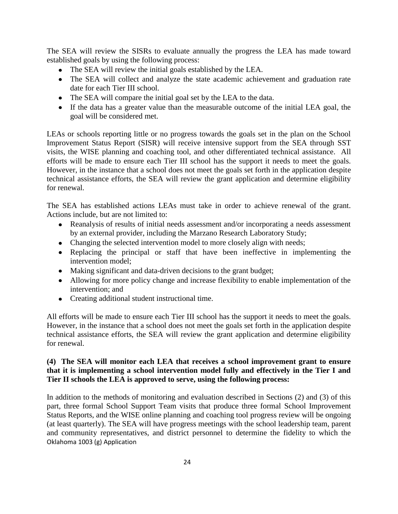The SEA will review the SISRs to evaluate annually the progress the LEA has made toward established goals by using the following process:

- The SEA will review the initial goals established by the LEA.
- The SEA will collect and analyze the state academic achievement and graduation rate date for each Tier III school.
- The SEA will compare the initial goal set by the LEA to the data.
- If the data has a greater value than the measurable outcome of the initial LEA goal, the goal will be considered met.

LEAs or schools reporting little or no progress towards the goals set in the plan on the School Improvement Status Report (SISR) will receive intensive support from the SEA through SST visits, the WISE planning and coaching tool, and other differentiated technical assistance. All efforts will be made to ensure each Tier III school has the support it needs to meet the goals. However, in the instance that a school does not meet the goals set forth in the application despite technical assistance efforts, the SEA will review the grant application and determine eligibility for renewal.

The SEA has established actions LEAs must take in order to achieve renewal of the grant. Actions include, but are not limited to:

- Reanalysis of results of initial needs assessment and/or incorporating a needs assessment by an external provider, including the Marzano Research Laboratory Study;
- Changing the selected intervention model to more closely align with needs;
- Replacing the principal or staff that have been ineffective in implementing the intervention model;
- Making significant and data-driven decisions to the grant budget;
- Allowing for more policy change and increase flexibility to enable implementation of the intervention; and
- Creating additional student instructional time.

All efforts will be made to ensure each Tier III school has the support it needs to meet the goals. However, in the instance that a school does not meet the goals set forth in the application despite technical assistance efforts, the SEA will review the grant application and determine eligibility for renewal.

# **(4) The SEA will monitor each LEA that receives a school improvement grant to ensure that it is implementing a school intervention model fully and effectively in the Tier I and Tier II schools the LEA is approved to serve, using the following process:**

Oklahoma 1003 (g) Application In addition to the methods of monitoring and evaluation described in Sections (2) and (3) of this part, three formal School Support Team visits that produce three formal School Improvement Status Reports, and the WISE online planning and coaching tool progress review will be ongoing (at least quarterly). The SEA will have progress meetings with the school leadership team, parent and community representatives, and district personnel to determine the fidelity to which the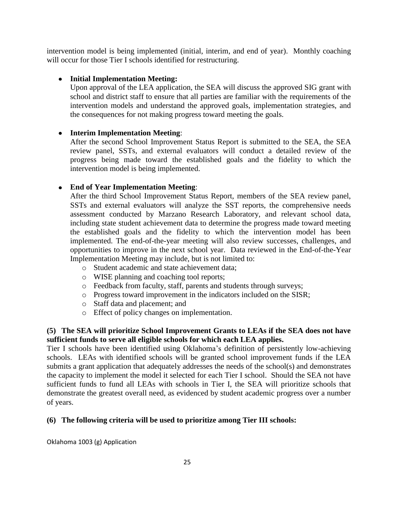intervention model is being implemented (initial, interim, and end of year). Monthly coaching will occur for those Tier I schools identified for restructuring.

# **Initial Implementation Meeting:**

Upon approval of the LEA application, the SEA will discuss the approved SIG grant with school and district staff to ensure that all parties are familiar with the requirements of the intervention models and understand the approved goals, implementation strategies, and the consequences for not making progress toward meeting the goals.

# **Interim Implementation Meeting**:

After the second School Improvement Status Report is submitted to the SEA, the SEA review panel, SSTs, and external evaluators will conduct a detailed review of the progress being made toward the established goals and the fidelity to which the intervention model is being implemented.

# **End of Year Implementation Meeting**:

After the third School Improvement Status Report, members of the SEA review panel, SSTs and external evaluators will analyze the SST reports, the comprehensive needs assessment conducted by Marzano Research Laboratory, and relevant school data, including state student achievement data to determine the progress made toward meeting the established goals and the fidelity to which the intervention model has been implemented. The end-of-the-year meeting will also review successes, challenges, and opportunities to improve in the next school year. Data reviewed in the End-of-the-Year Implementation Meeting may include, but is not limited to:

- o Student academic and state achievement data;
- o WISE planning and coaching tool reports;
- o Feedback from faculty, staff, parents and students through surveys;
- o Progress toward improvement in the indicators included on the SISR;
- o Staff data and placement; and
- o Effect of policy changes on implementation.

# **(5) The SEA will prioritize School Improvement Grants to LEAs if the SEA does not have sufficient funds to serve all eligible schools for which each LEA applies.**

Tier I schools have been identified using Oklahoma's definition of persistently low-achieving schools. LEAs with identified schools will be granted school improvement funds if the LEA submits a grant application that adequately addresses the needs of the school(s) and demonstrates the capacity to implement the model it selected for each Tier I school. Should the SEA not have sufficient funds to fund all LEAs with schools in Tier I, the SEA will prioritize schools that demonstrate the greatest overall need, as evidenced by student academic progress over a number of years.

# **(6) The following criteria will be used to prioritize among Tier III schools:**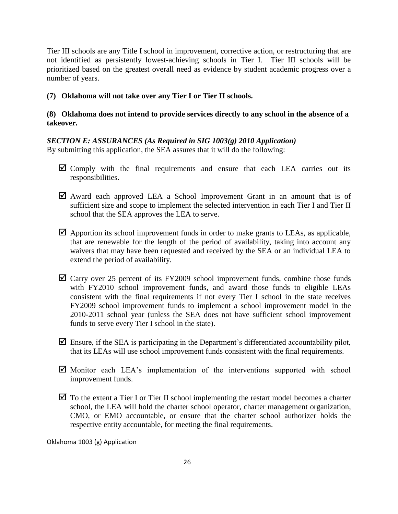Tier III schools are any Title I school in improvement, corrective action, or restructuring that are not identified as persistently lowest-achieving schools in Tier I. Tier III schools will be prioritized based on the greatest overall need as evidence by student academic progress over a number of years.

# **(7) Oklahoma will not take over any Tier I or Tier II schools.**

# **(8) Oklahoma does not intend to provide services directly to any school in the absence of a takeover.**

# *SECTION E: ASSURANCES (As Required in SIG 1003(g) 2010 Application)*

By submitting this application, the SEA assures that it will do the following:

- $\boxtimes$  Comply with the final requirements and ensure that each LEA carries out its responsibilities.
- $\boxtimes$  Award each approved LEA a School Improvement Grant in an amount that is of sufficient size and scope to implement the selected intervention in each Tier I and Tier II school that the SEA approves the LEA to serve.
- $\boxtimes$  Apportion its school improvement funds in order to make grants to LEAs, as applicable, that are renewable for the length of the period of availability, taking into account any waivers that may have been requested and received by the SEA or an individual LEA to extend the period of availability.
- $\overline{\mathbf{Q}}$  Carry over 25 percent of its FY2009 school improvement funds, combine those funds with FY2010 school improvement funds, and award those funds to eligible LEAs consistent with the final requirements if not every Tier I school in the state receives FY2009 school improvement funds to implement a school improvement model in the 2010-2011 school year (unless the SEA does not have sufficient school improvement funds to serve every Tier I school in the state).
- $\boxtimes$  Ensure, if the SEA is participating in the Department's differentiated accountability pilot, that its LEAs will use school improvement funds consistent with the final requirements.
- $\boxtimes$  Monitor each LEA's implementation of the interventions supported with school improvement funds.
- $\boxtimes$  To the extent a Tier I or Tier II school implementing the restart model becomes a charter school, the LEA will hold the charter school operator, charter management organization, CMO, or EMO accountable, or ensure that the charter school authorizer holds the respective entity accountable, for meeting the final requirements.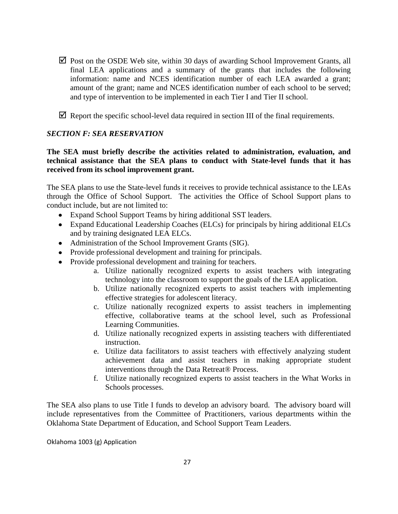- $\boxtimes$  Post on the OSDE Web site, within 30 days of awarding School Improvement Grants, all final LEA applications and a summary of the grants that includes the following information: name and NCES identification number of each LEA awarded a grant; amount of the grant; name and NCES identification number of each school to be served; and type of intervention to be implemented in each Tier I and Tier II school.
- $\triangledown$  Report the specific school-level data required in section III of the final requirements.

# *SECTION F: SEA RESERVATION*

## **The SEA must briefly describe the activities related to administration, evaluation, and technical assistance that the SEA plans to conduct with State-level funds that it has received from its school improvement grant.**

The SEA plans to use the State-level funds it receives to provide technical assistance to the LEAs through the Office of School Support. The activities the Office of School Support plans to conduct include, but are not limited to:

- Expand School Support Teams by hiring additional SST leaders.
- Expand Educational Leadership Coaches (ELCs) for principals by hiring additional ELCs and by training designated LEA ELCs.
- Administration of the School Improvement Grants (SIG).
- Provide professional development and training for principals.
- Provide professional development and training for teachers.
	- a. Utilize nationally recognized experts to assist teachers with integrating technology into the classroom to support the goals of the LEA application.
	- b. Utilize nationally recognized experts to assist teachers with implementing effective strategies for adolescent literacy.
	- c. Utilize nationally recognized experts to assist teachers in implementing effective, collaborative teams at the school level, such as Professional Learning Communities.
	- d. Utilize nationally recognized experts in assisting teachers with differentiated instruction.
	- e. Utilize data facilitators to assist teachers with effectively analyzing student achievement data and assist teachers in making appropriate student interventions through the Data Retreat® Process.
	- f. Utilize nationally recognized experts to assist teachers in the What Works in Schools processes.

The SEA also plans to use Title I funds to develop an advisory board. The advisory board will include representatives from the Committee of Practitioners, various departments within the Oklahoma State Department of Education, and School Support Team Leaders.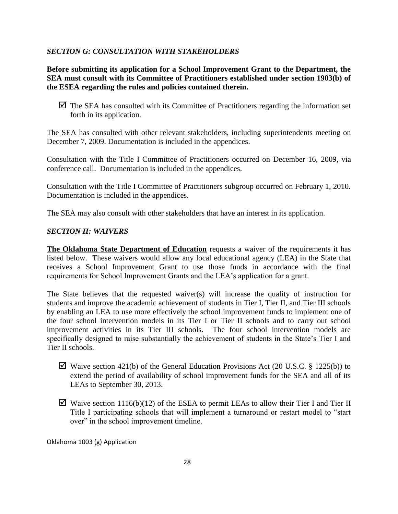#### *SECTION G: CONSULTATION WITH STAKEHOLDERS*

**Before submitting its application for a School Improvement Grant to the Department, the SEA must consult with its Committee of Practitioners established under section 1903(b) of the ESEA regarding the rules and policies contained therein.**

 $\triangleright$  The SEA has consulted with its Committee of Practitioners regarding the information set forth in its application.

The SEA has consulted with other relevant stakeholders, including superintendents meeting on December 7, 2009. Documentation is included in the appendices.

Consultation with the Title I Committee of Practitioners occurred on December 16, 2009, via conference call. Documentation is included in the appendices.

Consultation with the Title I Committee of Practitioners subgroup occurred on February 1, 2010. Documentation is included in the appendices.

The SEA may also consult with other stakeholders that have an interest in its application.

#### *SECTION H: WAIVERS*

**The Oklahoma State Department of Education** requests a waiver of the requirements it has listed below. These waivers would allow any local educational agency (LEA) in the State that receives a School Improvement Grant to use those funds in accordance with the final requirements for School Improvement Grants and the LEA's application for a grant.

The State believes that the requested waiver(s) will increase the quality of instruction for students and improve the academic achievement of students in Tier I, Tier II, and Tier III schools by enabling an LEA to use more effectively the school improvement funds to implement one of the four school intervention models in its Tier I or Tier II schools and to carry out school improvement activities in its Tier III schools. The four school intervention models are specifically designed to raise substantially the achievement of students in the State's Tier I and Tier II schools.

- $\boxtimes$  Waive section 421(b) of the General Education Provisions Act (20 U.S.C. § 1225(b)) to extend the period of availability of school improvement funds for the SEA and all of its LEAs to September 30, 2013.
- $\boxtimes$  Waive section 1116(b)(12) of the ESEA to permit LEAs to allow their Tier I and Tier II Title I participating schools that will implement a turnaround or restart model to "start over" in the school improvement timeline.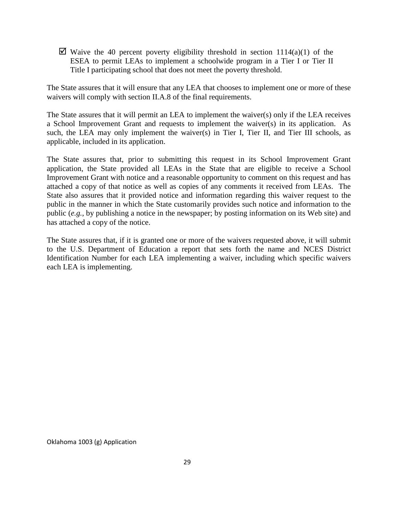$\boxtimes$  Waive the 40 percent poverty eligibility threshold in section 1114(a)(1) of the ESEA to permit LEAs to implement a schoolwide program in a Tier I or Tier II Title I participating school that does not meet the poverty threshold.

The State assures that it will ensure that any LEA that chooses to implement one or more of these waivers will comply with section II.A.8 of the final requirements.

The State assures that it will permit an LEA to implement the waiver(s) only if the LEA receives a School Improvement Grant and requests to implement the waiver(s) in its application. As such, the LEA may only implement the waiver(s) in Tier I, Tier II, and Tier III schools, as applicable, included in its application.

The State assures that, prior to submitting this request in its School Improvement Grant application, the State provided all LEAs in the State that are eligible to receive a School Improvement Grant with notice and a reasonable opportunity to comment on this request and has attached a copy of that notice as well as copies of any comments it received from LEAs. The State also assures that it provided notice and information regarding this waiver request to the public in the manner in which the State customarily provides such notice and information to the public (*e.g.*, by publishing a notice in the newspaper; by posting information on its Web site) and has attached a copy of the notice.

The State assures that, if it is granted one or more of the waivers requested above, it will submit to the U.S. Department of Education a report that sets forth the name and NCES District Identification Number for each LEA implementing a waiver, including which specific waivers each LEA is implementing.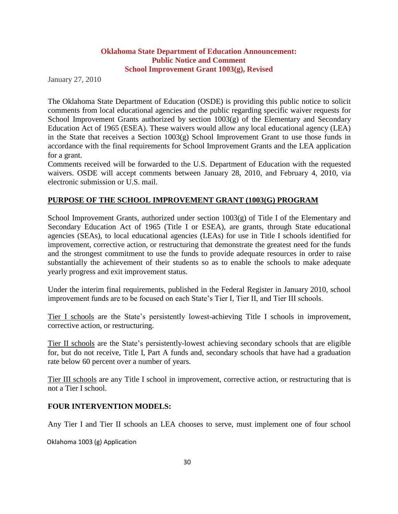#### **Oklahoma State Department of Education Announcement: Public Notice and Comment School Improvement Grant 1003(g), Revised**

January 27, 2010

The Oklahoma State Department of Education (OSDE) is providing this public notice to solicit comments from local educational agencies and the public regarding specific waiver requests for School Improvement Grants authorized by section 1003(g) of the Elementary and Secondary Education Act of 1965 (ESEA). These waivers would allow any local educational agency (LEA) in the State that receives a Section 1003(g) School Improvement Grant to use those funds in accordance with the final requirements for School Improvement Grants and the LEA application for a grant.

Comments received will be forwarded to the U.S. Department of Education with the requested waivers. OSDE will accept comments between January 28, 2010, and February 4, 2010, via electronic submission or U.S. mail.

# **PURPOSE OF THE SCHOOL IMPROVEMENT GRANT (1003(G) PROGRAM**

School Improvement Grants, authorized under section  $1003(g)$  of Title I of the Elementary and Secondary Education Act of 1965 (Title I or ESEA), are grants, through State educational agencies (SEAs), to local educational agencies (LEAs) for use in Title I schools identified for improvement, corrective action, or restructuring that demonstrate the greatest need for the funds and the strongest commitment to use the funds to provide adequate resources in order to raise substantially the achievement of their students so as to enable the schools to make adequate yearly progress and exit improvement status.

Under the interim final requirements, published in the Federal Register in January 2010, school improvement funds are to be focused on each State's Tier I, Tier II, and Tier III schools.

Tier I schools are the State's persistently lowest-achieving Title I schools in improvement, corrective action, or restructuring.

Tier II schools are the State's persistently-lowest achieving secondary schools that are eligible for, but do not receive, Title I, Part A funds and, secondary schools that have had a graduation rate below 60 percent over a number of years.

Tier III schools are any Title I school in improvement, corrective action, or restructuring that is not a Tier I school.

#### **FOUR INTERVENTION MODELS:**

Any Tier I and Tier II schools an LEA chooses to serve, must implement one of four school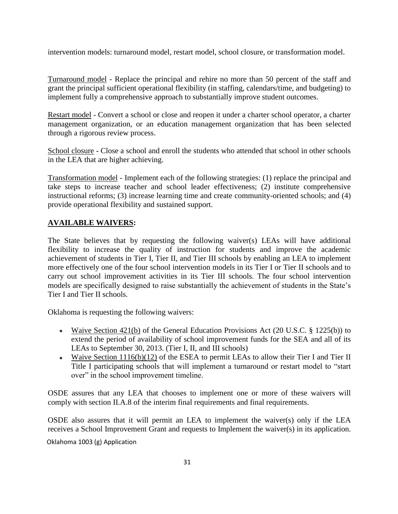intervention models: turnaround model, restart model, school closure, or transformation model.

Turnaround model - Replace the principal and rehire no more than 50 percent of the staff and grant the principal sufficient operational flexibility (in staffing, calendars/time, and budgeting) to implement fully a comprehensive approach to substantially improve student outcomes.

Restart model - Convert a school or close and reopen it under a charter school operator, a charter management organization, or an education management organization that has been selected through a rigorous review process.

School closure - Close a school and enroll the students who attended that school in other schools in the LEA that are higher achieving.

Transformation model - Implement each of the following strategies: (1) replace the principal and take steps to increase teacher and school leader effectiveness; (2) institute comprehensive instructional reforms; (3) increase learning time and create community-oriented schools; and (4) provide operational flexibility and sustained support.

# **AVAILABLE WAIVERS:**

The State believes that by requesting the following waiver(s) LEAs will have additional flexibility to increase the quality of instruction for students and improve the academic achievement of students in Tier I, Tier II, and Tier III schools by enabling an LEA to implement more effectively one of the four school intervention models in its Tier I or Tier II schools and to carry out school improvement activities in its Tier III schools. The four school intervention models are specifically designed to raise substantially the achievement of students in the State's Tier I and Tier II schools.

Oklahoma is requesting the following waivers:

- Waive Section 421(b) of the General Education Provisions Act (20 U.S.C.  $\S$  1225(b)) to extend the period of availability of school improvement funds for the SEA and all of its LEAs to September 30, 2013. (Tier I, II, and III schools)
- Waive Section 1116(b)(12) of the ESEA to permit LEAs to allow their Tier I and Tier II Title I participating schools that will implement a turnaround or restart model to "start over" in the school improvement timeline.

OSDE assures that any LEA that chooses to implement one or more of these waivers will comply with section II.A.8 of the interim final requirements and final requirements.

OSDE also assures that it will permit an LEA to implement the waiver(s) only if the LEA receives a School Improvement Grant and requests to Implement the waiver(s) in its application.